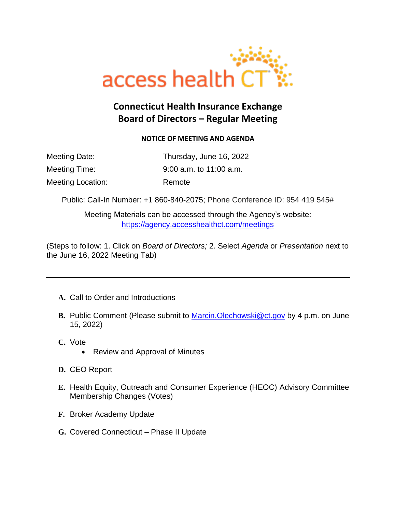

## **Connecticut Health Insurance Exchange Board of Directors – Regular Meeting**

## **NOTICE OF MEETING AND AGENDA**

| Meeting Date:     | Thursday, June 16, 2022   |
|-------------------|---------------------------|
| Meeting Time:     | $9:00$ a.m. to 11:00 a.m. |
| Meeting Location: | Remote                    |

Public: Call-In Number: [+1 860-840-2075;](tel:+1%20860-840-2075,,989635907# ) Phone Conference ID: 954 419 545#

Meeting Materials can be accessed through the Agency's website: <https://agency.accesshealthct.com/meetings>

(Steps to follow: 1. Click on *Board of Directors;* 2. Select *Agenda* or *Presentation* next to the June 16, 2022 Meeting Tab)

- **A.** Call to Order and Introductions
- **B.** Public Comment (Please submit to [Marcin.Olechowski@ct.gov](mailto:Marcin.Olechowski@ct.gov) by 4 p.m. on June 15, 2022)
- **C.** Vote
	- Review and Approval of Minutes
- **D.** CEO Report
- **E.** Health Equity, Outreach and Consumer Experience (HEOC) Advisory Committee Membership Changes (Votes)
- **F.** Broker Academy Update
- **G.** Covered Connecticut Phase II Update